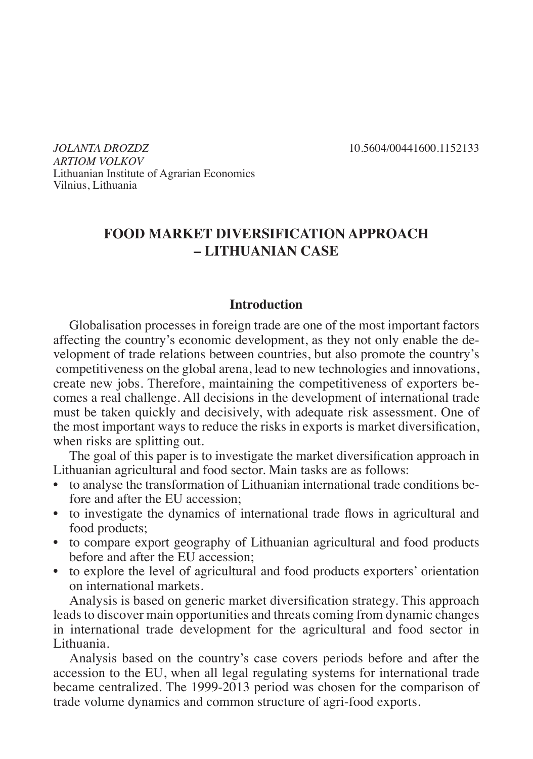*JOLANTA DROZDZ* 10.5604/00441600.1152133 *ARTIOM VOLKOV* Lithuanian Institute of Agrarian Economics Vilnius, Lithuania

# **FOOD MARKET DIVERSIFICATION APPROACH – LITHUANIAN CASE**

# **Introduction**

Globalisation processes in foreign trade are one of the most important factors affecting the country's economic development, as they not only enable the development of trade relations between countries, but also promote the country's competitiveness on the global arena, lead to new technologies and innovations, create new jobs. Therefore, maintaining the competitiveness of exporters becomes a real challenge. All decisions in the development of international trade must be taken quickly and decisively, with adequate risk assessment. One of the most important ways to reduce the risks in exports is market diversification, when risks are splitting out.

The goal of this paper is to investigate the market diversification approach in Lithuanian agricultural and food sector. Main tasks are as follows:

- to analyse the transformation of Lithuanian international trade conditions before and after the EU accession;
- to investigate the dynamics of international trade flows in agricultural and food products;
- to compare export geography of Lithuanian agricultural and food products before and after the EU accession;
- to explore the level of agricultural and food products exporters' orientation on international markets.

Analysis is based on generic market diversification strategy. This approach leads to discover main opportunities and threats coming from dynamic changes in international trade development for the agricultural and food sector in Lithuania.

Analysis based on the country's case covers periods before and after the accession to the EU, when all legal regulating systems for international trade became centralized. The 1999-2013 period was chosen for the comparison of trade volume dynamics and common structure of agri-food exports.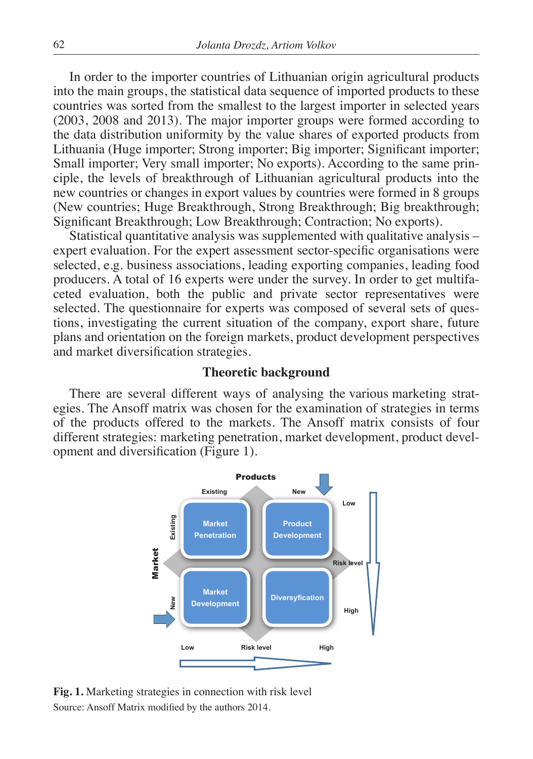In order to the importer countries of Lithuanian origin agricultural products into the main groups, the statistical data sequence of imported products to these countries was sorted from the smallest to the largest importer in selected years (2003, 2008 and 2013). The major importer groups were formed according to the data distribution uniformity by the value shares of exported products from Lithuania (Huge importer; Strong importer; Big importer; Significant importer; Small importer; Very small importer; No exports). According to the same principle, the levels of breakthrough of Lithuanian agricultural products into the new countries or changes in export values by countries were formed in 8 groups (New countries; Huge Breakthrough, Strong Breakthrough; Big breakthrough; Significant Breakthrough; Low Breakthrough; Contraction; No exports).

Statistical quantitative analysis was supplemented with qualitative analysis – expert evaluation. For the expert assessment sector-specific organisations were selected, e.g. business associations, leading exporting companies, leading food producers. A total of 16 experts were under the survey. In order to get multifaceted evaluation, both the public and private sector representatives were selected. The questionnaire for experts was composed of several sets of questions, investigating the current situation of the company, export share, future plans and orientation on the foreign markets, product development perspectives and market diversification strategies.

### **Theoretic background**

There are several different ways of analysing the various marketing strategies. The Ansoff matrix was chosen for the examination of strategies in terms of the products offered to the markets. The Ansoff matrix consists of four different strategies: marketing penetration, market development, product development and diversification (Figure 1).



**Fig. 1.** Marketing strategies in connection with risk level Source: Ansoff Matrix modified by the authors 2014. ith<br>|<br>| mection with risk level authors  $2014$ . Penetration Control Control Control Control Control Control Control Control Control Control Control Control Co<br>
Penetration Control Control Control Control Control Control Control Control Control Control Control Control Co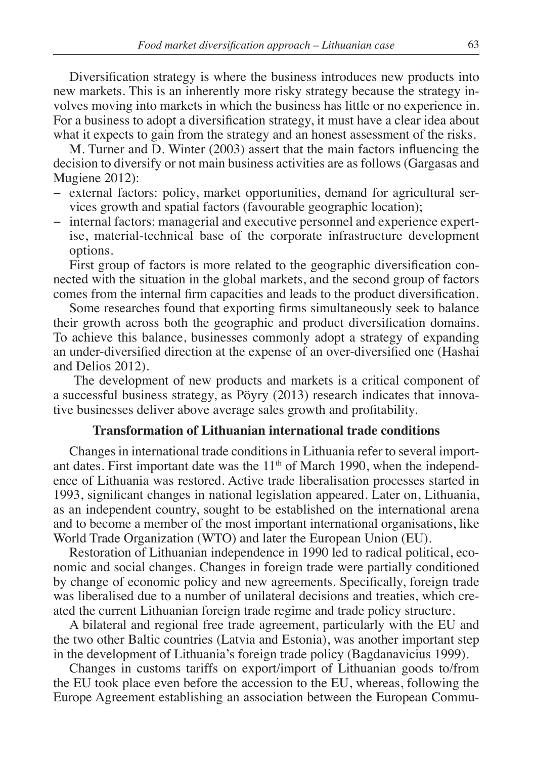Diversification strategy is where the business introduces new products into new markets. This is an inherently more risky strategy because the strategy involves moving into markets in which the business has little or no experience in. For a business to adopt a diversification strategy, it must have a clear idea about what it expects to gain from the strategy and an honest assessment of the risks.

M. Turner and D. Winter (2003) assert that the main factors influencing the decision to diversify or not main business activities are as follows (Gargasas and Mugiene 2012):

- − external factors: policy, market opportunities, demand for agricultural services growth and spatial factors (favourable geographic location);
- − internal factors: managerial and executive personnel and experience expertise, material-technical base of the corporate infrastructure development options.

First group of factors is more related to the geographic diversification connected with the situation in the global markets, and the second group of factors comes from the internal firm capacities and leads to the product diversification.

Some researches found that exporting firms simultaneously seek to balance their growth across both the geographic and product diversification domains. To achieve this balance, businesses commonly adopt a strategy of expanding an under-diversified direction at the expense of an over-diversified one (Hashai and Delios 2012).

 The development of new products and markets is a critical component of a successful business strategy, as Pöyry (2013) research indicates that innovative businesses deliver above average sales growth and profitability.

# **Transformation of Lithuanian international trade conditions**

Changes in international trade conditions in Lithuania refer to several important dates. First important date was the  $11<sup>th</sup>$  of March 1990, when the independence of Lithuania was restored. Active trade liberalisation processes started in 1993, significant changes in national legislation appeared. Later on, Lithuania, as an independent country, sought to be established on the international arena and to become a member of the most important international organisations, like World Trade Organization (WTO) and later the European Union (EU).

Restoration of Lithuanian independence in 1990 led to radical political, economic and social changes. Changes in foreign trade were partially conditioned by change of economic policy and new agreements. Specifically, foreign trade was liberalised due to a number of unilateral decisions and treaties, which created the current Lithuanian foreign trade regime and trade policy structure.

A bilateral and regional free trade agreement, particularly with the EU and the two other Baltic countries (Latvia and Estonia), was another important step in the development of Lithuania's foreign trade policy (Bagdanavicius 1999).

Changes in customs tariffs on export/import of Lithuanian goods to/from the EU took place even before the accession to the EU, whereas, following the Europe Agreement establishing an association between the European Commu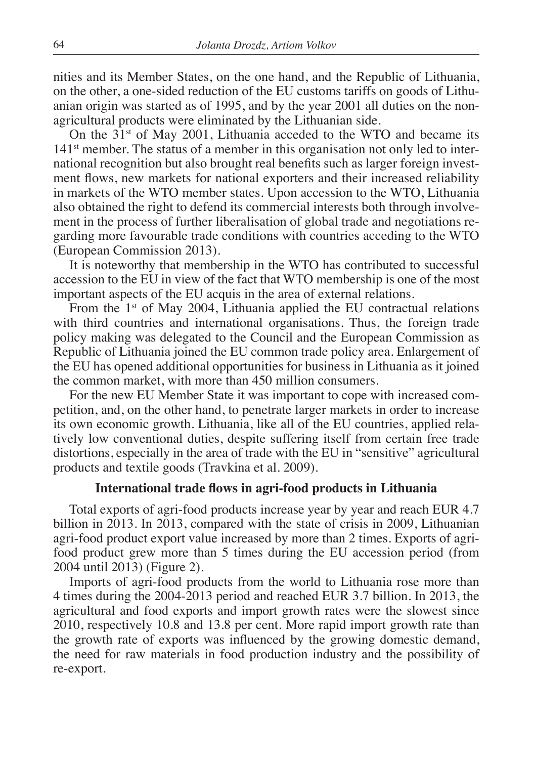nities and its Member States, on the one hand, and the Republic of Lithuania, on the other, a one-sided reduction of the EU customs tariffs on goods of Lithuanian origin was started as of 1995, and by the year 2001 all duties on the nonagricultural products were eliminated by the Lithuanian side.

On the  $31<sup>st</sup>$  of May 2001, Lithuania acceded to the WTO and became its 141<sup>st</sup> member. The status of a member in this organisation not only led to international recognition but also brought real benefits such as larger foreign investment flows, new markets for national exporters and their increased reliability in markets of the WTO member states. Upon accession to the WTO, Lithuania also obtained the right to defend its commercial interests both through involvement in the process of further liberalisation of global trade and negotiations regarding more favourable trade conditions with countries acceding to the WTO (European Commission 2013).

It is noteworthy that membership in the WTO has contributed to successful accession to the EU in view of the fact that WTO membership is one of the most important aspects of the EU acquis in the area of external relations.

From the  $1<sup>st</sup>$  of May 2004, Lithuania applied the EU contractual relations with third countries and international organisations. Thus, the foreign trade policy making was delegated to the Council and the European Commission as Republic of Lithuania joined the EU common trade policy area. Enlargement of the EU has opened additional opportunities for business in Lithuania as it joined the common market, with more than 450 million consumers.

For the new EU Member State it was important to cope with increased competition, and, on the other hand, to penetrate larger markets in order to increase its own economic growth. Lithuania, like all of the EU countries, applied relatively low conventional duties, despite suffering itself from certain free trade distortions, especially in the area of trade with the EU in "sensitive" agricultural products and textile goods (Travkina et al. 2009).

## **International trade flows in agri-food products in Lithuania**

Total exports of agri-food products increase year by year and reach EUR 4.7 billion in 2013. In 2013, compared with the state of crisis in 2009, Lithuanian agri-food product export value increased by more than 2 times. Exports of agrifood product grew more than 5 times during the EU accession period (from 2004 until 2013) (Figure 2).

Imports of agri-food products from the world to Lithuania rose more than 4 times during the 2004-2013 period and reached EUR 3.7 billion. In 2013, the agricultural and food exports and import growth rates were the slowest since 2010, respectively 10.8 and 13.8 per cent. More rapid import growth rate than the growth rate of exports was influenced by the growing domestic demand, the need for raw materials in food production industry and the possibility of re-export.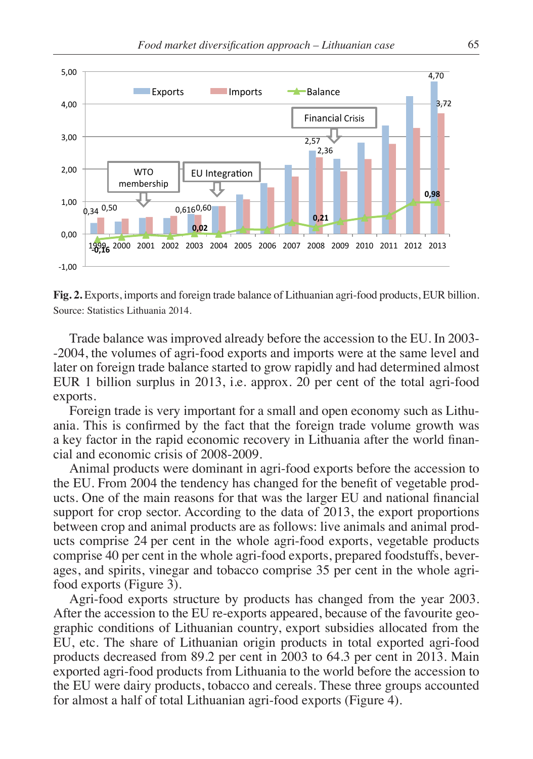

**Fig. 2.** Exports, imports and foreign trade balance of Lithuanian agri-food products, EUR billion. Source: Statistics Lithuania 2014.

Trade balance was improved already before the accession to the EU. In 2003- -2004, the volumes of agri-food exports and imports were at the same level and later on foreign trade balance started to grow rapidly and had determined almost EUR 1 billion surplus in 2013, i.e. approx. 20 per cent of the total agri-food exports.

Foreign trade is very important for a small and open economy such as Lithuania. This is confirmed by the fact that the foreign trade volume growth was a key factor in the rapid economic recovery in Lithuania after the world financial and economic crisis of 2008-2009.

Animal products were dominant in agri-food exports before the accession to the EU. From 2004 the tendency has changed for the benefit of vegetable products. One of the main reasons for that was the larger EU and national financial support for crop sector. According to the data of 2013, the export proportions between crop and animal products are as follows: live animals and animal products comprise 24 per cent in the whole agri-food exports, vegetable products comprise 40 per cent in the whole agri-food exports, prepared foodstuffs, beverages, and spirits, vinegar and tobacco comprise 35 per cent in the whole agrifood exports (Figure 3).

Agri-food exports structure by products has changed from the year 2003. After the accession to the EU re-exports appeared, because of the favourite geographic conditions of Lithuanian country, export subsidies allocated from the EU, etc. The share of Lithuanian origin products in total exported agri-food products decreased from 89.2 per cent in 2003 to 64.3 per cent in 2013. Main exported agri-food products from Lithuania to the world before the accession to the EU were dairy products, tobacco and cereals. These three groups accounted for almost a half of total Lithuanian agri-food exports (Figure 4).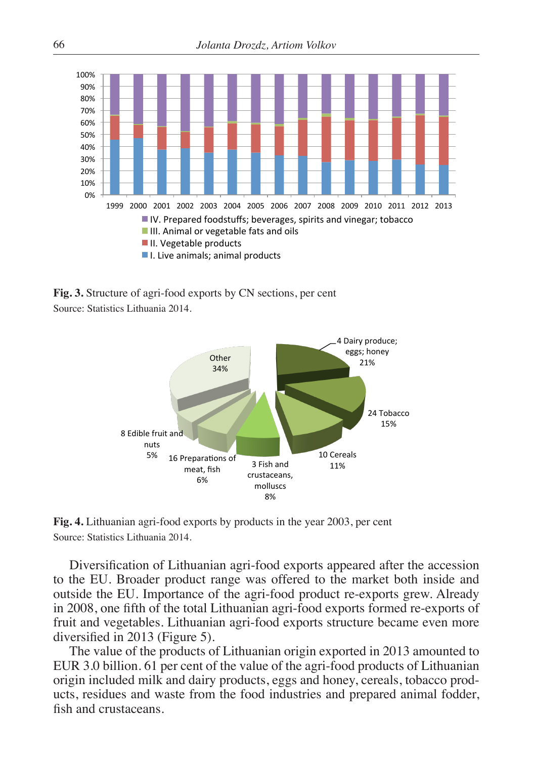

**Fig. 3.** Structure of agri-food exports by CN sections, per cent Source: Statistics Lithuania 2014.



**Fig. 4.** Lithuanian agri-food exports by products in the year 2003, per cent Source: Statistics Lithuania 2014.

Diversification of Lithuanian agri-food exports appeared after the accession to the EU. Broader product range was offered to the market both inside and outside the EU. Importance of the agri-food product re-exports grew. Already in 2008, one fifth of the total Lithuanian agri-food exports formed re-exports of fruit and vegetables. Lithuanian agri-food exports structure became even more diversified in 2013 (Figure 5).

The value of the products of Lithuanian origin exported in 2013 amounted to EUR 3.0 billion. 61 per cent of the value of the agri-food products of Lithuanian origin included milk and dairy products, eggs and honey, cereals, tobacco products, residues and waste from the food industries and prepared animal fodder, fish and crustaceans.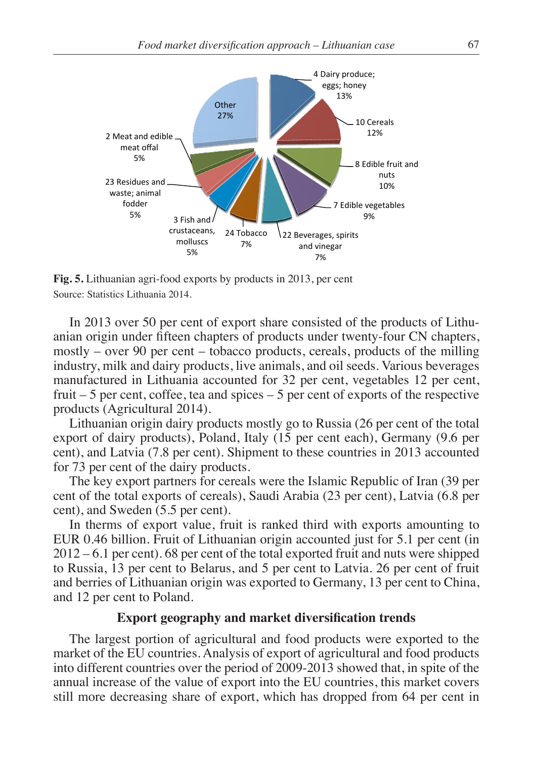

**Fig. 5.** Lithuanian agri-food exports by products in 2013, per cent Source: Statistics Lithuania 2014.

In 2013 over 50 per cent of export share consisted of the products of Lithuanian origin under fifteen chapters of products under twenty-four CN chapters, mostly – over 90 per cent – tobacco products, cereals, products of the milling industry, milk and dairy products, live animals, and oil seeds. Various beverages manufactured in Lithuania accounted for 32 per cent, vegetables 12 per cent, fruit  $-5$  per cent, coffee, tea and spices  $-5$  per cent of exports of the respective products (Agricultural 2014).

Lithuanian origin dairy products mostly go to Russia (26 per cent of the total export of dairy products), Poland, Italy (15 per cent each), Germany (9.6 per cent), and Latvia (7.8 per cent). Shipment to these countries in 2013 accounted for 73 per cent of the dairy products.

The key export partners for cereals were the Islamic Republic of Iran (39 per cent of the total exports of cereals), Saudi Arabia (23 per cent), Latvia (6.8 per cent), and Sweden (5.5 per cent).

In therms of export value, fruit is ranked third with exports amounting to EUR 0.46 billion. Fruit of Lithuanian origin accounted just for 5.1 per cent (in 2012 – 6.1 per cent). 68 per cent of the total exported fruit and nuts were shipped to Russia, 13 per cent to Belarus, and 5 per cent to Latvia. 26 per cent of fruit and berries of Lithuanian origin was exported to Germany, 13 per cent to China, and 12 per cent to Poland.

# **Export geography and market diversification trends**

The largest portion of agricultural and food products were exported to the market of the EU countries. Analysis of export of agricultural and food products into different countries over the period of 2009-2013 showed that, in spite of the annual increase of the value of export into the EU countries, this market covers still more decreasing share of export, which has dropped from 64 per cent in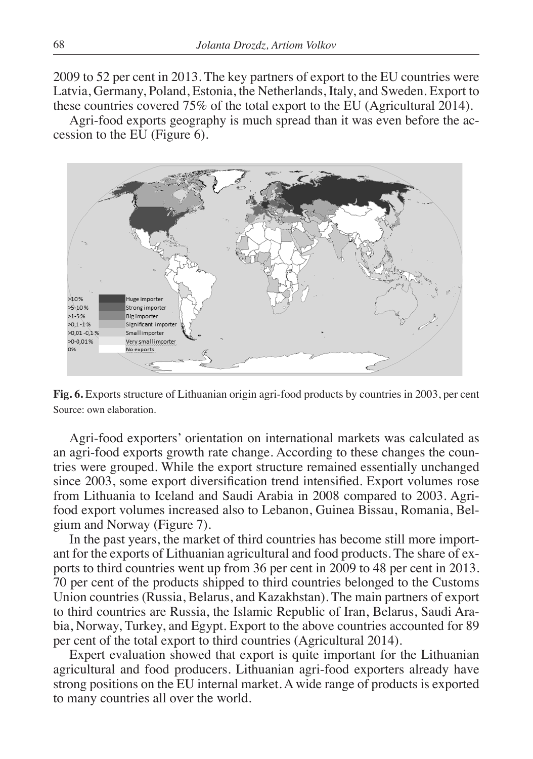2009 to 52 per cent in 2013. The key partners of export to the EU countries were Latvia, Germany, Poland, Estonia, the Netherlands, Italy, and Sweden. Export to these countries covered 75% of the total export to the EU (Agricultural 2014).

Agri-food exports geography is much spread than it was even before the accession to the EU (Figure 6).



**Fig. 6.** Exports structure of Lithuanian origin agri-food products by countries in 2003, per cent Source: own elaboration.

Agri-food exporters' orientation on international markets was calculated as an agri-food exports growth rate change. According to these changes the countries were grouped. While the export structure remained essentially unchanged since 2003, some export diversification trend intensified. Export volumes rose from Lithuania to Iceland and Saudi Arabia in 2008 compared to 2003. Agrifood export volumes increased also to Lebanon, Guinea Bissau, Romania, Belgium and Norway (Figure 7).

In the past years, the market of third countries has become still more important for the exports of Lithuanian agricultural and food products. The share of exports to third countries went up from 36 per cent in 2009 to 48 per cent in 2013. 70 per cent of the products shipped to third countries belonged to the Customs Union countries (Russia, Belarus, and Kazakhstan). The main partners of export to third countries are Russia, the Islamic Republic of Iran, Belarus, Saudi Arabia, Norway, Turkey, and Egypt. Export to the above countries accounted for 89 per cent of the total export to third countries (Agricultural 2014).

Expert evaluation showed that export is quite important for the Lithuanian agricultural and food producers. Lithuanian agri-food exporters already have strong positions on the EU internal market. A wide range of products is exported to many countries all over the world.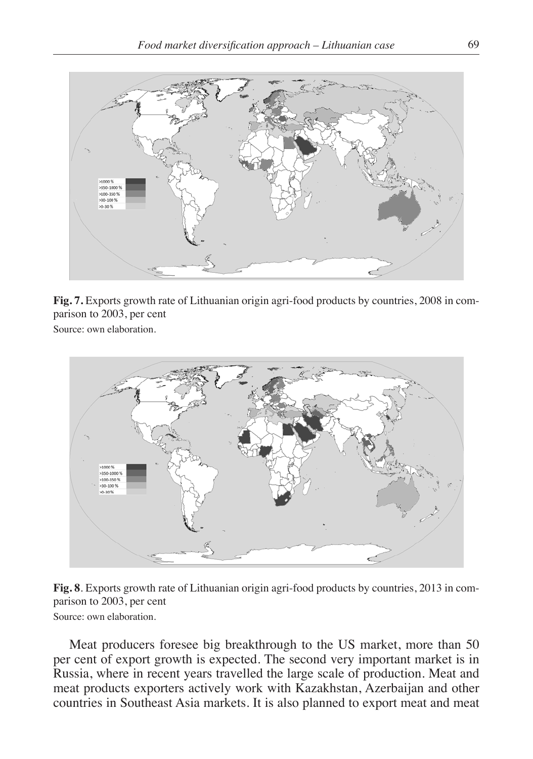

**Fig. 7.** Exports growth rate of Lithuanian origin agri-food products by countries, 2008 in comparison to 2003, per cent

Source: own elaboration.



**Fig. 8**. Exports growth rate of Lithuanian origin agri-food products by countries, 2013 in comparison to 2003, per cent Source: own elaboration.

Meat producers foresee big breakthrough to the US market, more than 50 per cent of export growth is expected. The second very important market is in Russia, where in recent years travelled the large scale of production. Meat and meat products exporters actively work with Kazakhstan, Azerbaijan and other countries in Southeast Asia markets. It is also planned to export meat and meat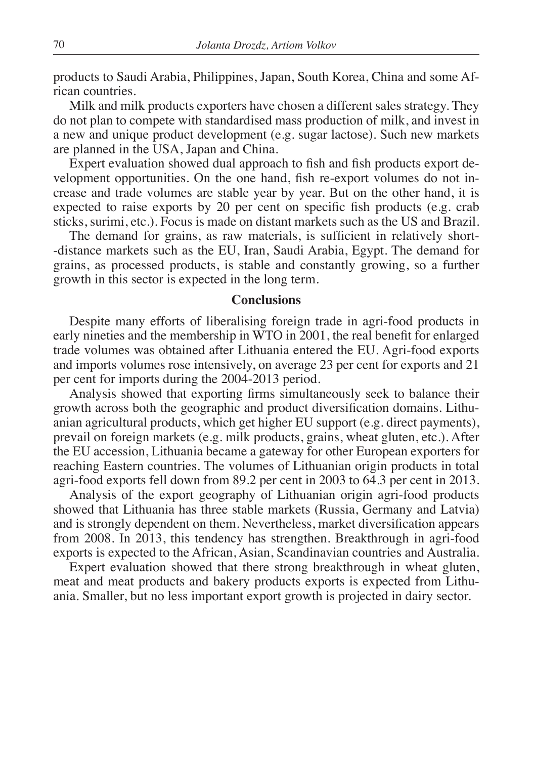products to Saudi Arabia, Philippines, Japan, South Korea, China and some African countries.

Milk and milk products exporters have chosen a different sales strategy. They do not plan to compete with standardised mass production of milk, and invest in a new and unique product development (e.g. sugar lactose). Such new markets are planned in the USA, Japan and China.

Expert evaluation showed dual approach to fish and fish products export development opportunities. On the one hand, fish re-export volumes do not increase and trade volumes are stable year by year. But on the other hand, it is expected to raise exports by 20 per cent on specific fish products (e.g. crab sticks, surimi, etc.). Focus is made on distant markets such as the US and Brazil.

The demand for grains, as raw materials, is sufficient in relatively short- -distance markets such as the EU, Iran, Saudi Arabia, Egypt. The demand for grains, as processed products, is stable and constantly growing, so a further growth in this sector is expected in the long term.

### **Conclusions**

Despite many efforts of liberalising foreign trade in agri-food products in early nineties and the membership in WTO in 2001, the real benefit for enlarged trade volumes was obtained after Lithuania entered the EU. Agri-food exports and imports volumes rose intensively, on average 23 per cent for exports and 21 per cent for imports during the 2004-2013 period.

Analysis showed that exporting firms simultaneously seek to balance their growth across both the geographic and product diversification domains. Lithuanian agricultural products, which get higher EU support (e.g. direct payments), prevail on foreign markets (e.g. milk products, grains, wheat gluten, etc.). After the EU accession, Lithuania became a gateway for other European exporters for reaching Eastern countries. The volumes of Lithuanian origin products in total agri-food exports fell down from 89.2 per cent in 2003 to 64.3 per cent in 2013.

Analysis of the export geography of Lithuanian origin agri-food products showed that Lithuania has three stable markets (Russia, Germany and Latvia) and is strongly dependent on them. Nevertheless, market diversification appears from 2008. In 2013, this tendency has strengthen. Breakthrough in agri-food exports is expected to the African, Asian, Scandinavian countries and Australia.

Expert evaluation showed that there strong breakthrough in wheat gluten, meat and meat products and bakery products exports is expected from Lithuania. Smaller, but no less important export growth is projected in dairy sector.